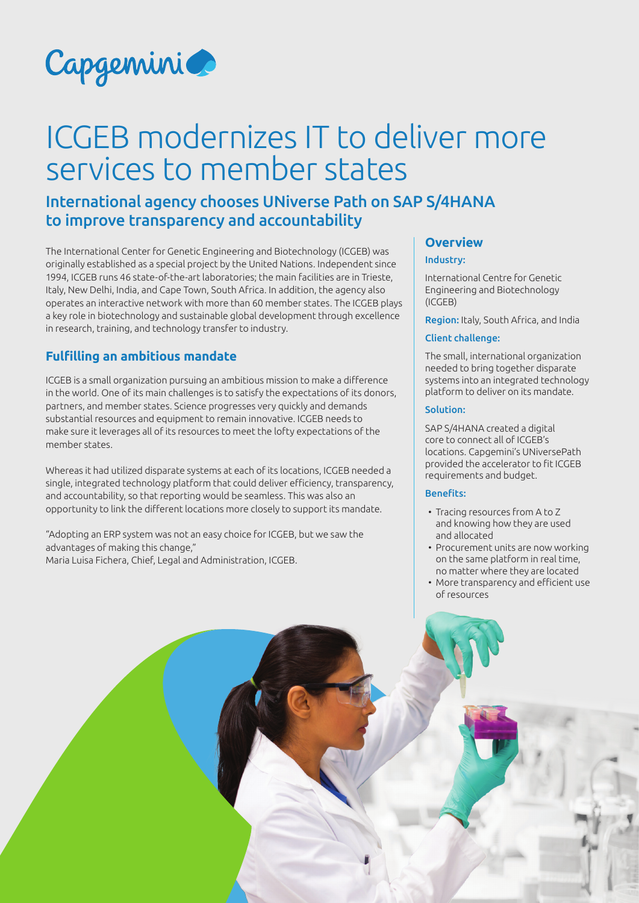

# ICGEB modernizes IT to deliver more services to member states

# International agency chooses UNiverse Path on SAP S/4HANA to improve transparency and accountability

The International Center for Genetic Engineering and Biotechnology (ICGEB) was originally established as a special project by the United Nations. Independent since 1994, ICGEB runs 46 state-of-the-art laboratories; the main facilities are in Trieste, Italy, New Delhi, India, and Cape Town, South Africa. In addition, the agency also operates an interactive network with more than 60 member states. The ICGEB plays a key role in biotechnology and sustainable global development through excellence in research, training, and technology transfer to industry.

## **Fulfilling an ambitious mandate**

ICGEB is a small organization pursuing an ambitious mission to make a difference in the world. One of its main challenges is to satisfy the expectations of its donors, partners, and member states. Science progresses very quickly and demands substantial resources and equipment to remain innovative. ICGEB needs to make sure it leverages all of its resources to meet the lofty expectations of the member states.

Whereas it had utilized disparate systems at each of its locations, ICGEB needed a single, integrated technology platform that could deliver efficiency, transparency, and accountability, so that reporting would be seamless. This was also an opportunity to link the different locations more closely to support its mandate.

"Adopting an ERP system was not an easy choice for ICGEB, but we saw the advantages of making this change," Maria Luisa Fichera, Chief, Legal and Administration, ICGEB.

# **Overview**

#### Industry:

International Centre for Genetic Engineering and Biotechnology (ICGEB)

Region: Italy, South Africa, and India

#### Client challenge:

The small, international organization needed to bring together disparate systems into an integrated technology platform to deliver on its mandate.

#### Solution:

SAP S/4HANA created a digital core to connect all of ICGEB's locations. Capgemini's UNiversePath provided the accelerator to fit ICGEB requirements and budget.

#### Benefits:

- Tracing resources from A to Z and knowing how they are used and allocated
- Procurement units are now working on the same platform in real time, no matter where they are located
- More transparency and efficient use of resources